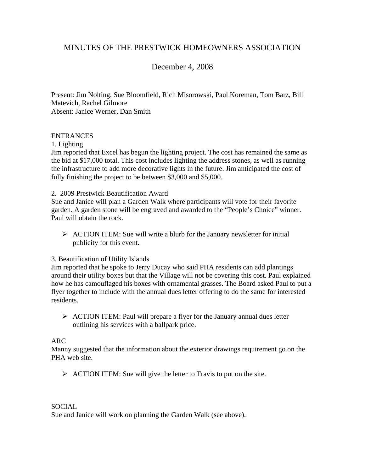# MINUTES OF THE PRESTWICK HOMEOWNERS ASSOCIATION

# December 4, 2008

Present: Jim Nolting, Sue Bloomfield, Rich Misorowski, Paul Koreman, Tom Barz, Bill Matevich, Rachel Gilmore Absent: Janice Werner, Dan Smith

#### ENTRANCES

1. Lighting

Jim reported that Excel has begun the lighting project. The cost has remained the same as the bid at \$17,000 total. This cost includes lighting the address stones, as well as running the infrastructure to add more decorative lights in the future. Jim anticipated the cost of fully finishing the project to be between \$3,000 and \$5,000.

#### 2. 2009 Prestwick Beautification Award

Sue and Janice will plan a Garden Walk where participants will vote for their favorite garden. A garden stone will be engraved and awarded to the "People's Choice" winner. Paul will obtain the rock.

 $\triangleright$  ACTION ITEM: Sue will write a blurb for the January newsletter for initial publicity for this event.

# 3. Beautification of Utility Islands

Jim reported that he spoke to Jerry Ducay who said PHA residents can add plantings around their utility boxes but that the Village will not be covering this cost. Paul explained how he has camouflaged his boxes with ornamental grasses. The Board asked Paul to put a flyer together to include with the annual dues letter offering to do the same for interested residents.

¾ ACTION ITEM: Paul will prepare a flyer for the January annual dues letter outlining his services with a ballpark price.

#### ARC

Manny suggested that the information about the exterior drawings requirement go on the PHA web site.

 $\triangleright$  ACTION ITEM: Sue will give the letter to Travis to put on the site.

## SOCIAL

Sue and Janice will work on planning the Garden Walk (see above).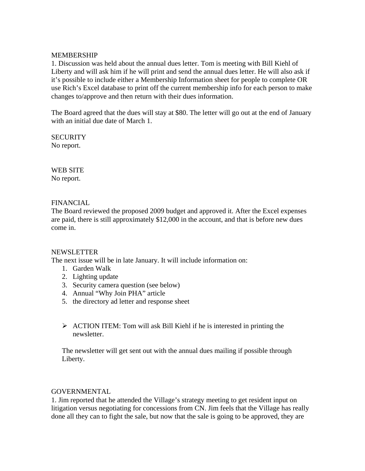#### MEMBERSHIP

1. Discussion was held about the annual dues letter. Tom is meeting with Bill Kiehl of Liberty and will ask him if he will print and send the annual dues letter. He will also ask if it's possible to include either a Membership Information sheet for people to complete OR use Rich's Excel database to print off the current membership info for each person to make changes to/approve and then return with their dues information.

The Board agreed that the dues will stay at \$80. The letter will go out at the end of January with an initial due date of March 1.

**SECURITY** No report.

WEB SITE No report.

#### FINANCIAL

The Board reviewed the proposed 2009 budget and approved it. After the Excel expenses are paid, there is still approximately \$12,000 in the account, and that is before new dues come in.

#### NEWSLETTER

The next issue will be in late January. It will include information on:

- 1. Garden Walk
- 2. Lighting update
- 3. Security camera question (see below)
- 4. Annual "Why Join PHA" article
- 5. the directory ad letter and response sheet
- $\triangleright$  ACTION ITEM: Tom will ask Bill Kiehl if he is interested in printing the newsletter.

The newsletter will get sent out with the annual dues mailing if possible through Liberty.

#### GOVERNMENTAL

1. Jim reported that he attended the Village's strategy meeting to get resident input on litigation versus negotiating for concessions from CN. Jim feels that the Village has really done all they can to fight the sale, but now that the sale is going to be approved, they are